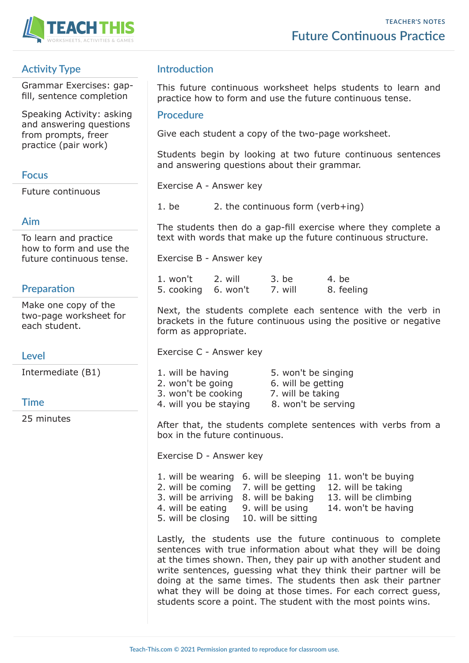



# **Activity Type**

Grammar Exercises: gapfill, sentence completion

Speaking Activity: asking and answering questions from prompts, freer practice (pair work)

## **Focus**

Future continuous

## **Aim**

To learn and practice how to form and use the future continuous tense.

# **Preparation**

Make one copy of the two-page worksheet for each student.

## **Level**

Intermediate (B1)

## **Time**

25 minutes

# **Introduction**

This future continuous worksheet helps students to learn and practice how to form and use the future continuous tense.

#### **Procedure**

Give each student a copy of the two-page worksheet.

Students begin by looking at two future continuous sentences and answering questions about their grammar.

Exercise A - Answer key

1. be 2. the continuous form (verb+ing)

The students then do a gap-fill exercise where they complete a text with words that make up the future continuous structure.

Exercise B - Answer key

| 1. won't            | 2. will | 3. be   | 4. be      |
|---------------------|---------|---------|------------|
| 5. cooking 6. won't |         | 7. will | 8. feeling |

Next, the students complete each sentence with the verb in brackets in the future continuous using the positive or negative form as appropriate.

Exercise C - Answer key

| 5. won't be singing |
|---------------------|
| 6. will be getting  |
| 7. will be taking   |
| 8. won't be serving |
|                     |

After that, the students complete sentences with verbs from a box in the future continuous.

Exercise D - Answer key

1. will be wearing 6. will be sleeping 11. won't be buying 2. will be coming 7. will be getting 12. will be taking 3. will be arriving 8. will be baking 13. will be climbing 4. will be eating 9. will be using 14. won't be having 5. will be closing 10. will be sitting

Lastly, the students use the future continuous to complete sentences with true information about what they will be doing at the times shown. Then, they pair up with another student and write sentences, guessing what they think their partner will be doing at the same times. The students then ask their partner what they will be doing at those times. For each correct guess, students score a point. The student with the most points wins.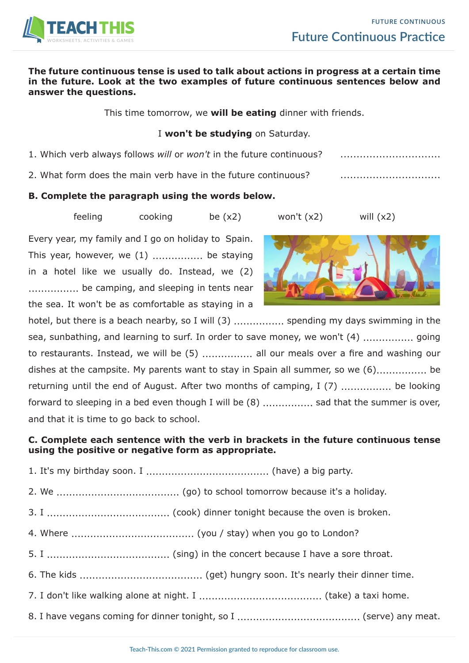

#### **The future continuous tense is used to talk about actions in progress at a certain time in the future. Look at the two examples of future continuous sentences below and answer the questions.**

This time tomorrow, we **will be eating** dinner with friends.

### I **won't be studying** on Saturday.

- 1. Which verb always follows *will* or *won't* in the future continuous? ...............................
- 2. What form does the main verb have in the future continuous? ...............................

## **B. Complete the paragraph using the words below.**

feeling cooking be  $(x2)$  won't  $(x2)$  will  $(x2)$ 

Every year, my family and I go on holiday to Spain. This year, however, we  $(1)$  .................. be staying in a hotel like we usually do. Instead, we (2) ................ be camping, and sleeping in tents near the sea. It won't be as comfortable as staying in a



hotel, but there is a beach nearby, so I will (3) ................. spending my days swimming in the sea, sunbathing, and learning to surf. In order to save money, we won't (4) ................ going to restaurants. Instead, we will be (5) ................ all our meals over a fire and washing our dishes at the campsite. My parents want to stay in Spain all summer, so we  $(6)$ ................. be returning until the end of August. After two months of camping, I (7) ................. be looking forward to sleeping in a bed even though I will be  $(8)$  ....................... sad that the summer is over, and that it is time to go back to school.

# **C. Complete each sentence with the verb in brackets in the future continuous tense using the positive or negative form as appropriate.**

- 1. It's my birthday soon. I ....................................... (have) a big party.
- 2. We ....................................... (go) to school tomorrow because it's a holiday.
- 3. I ....................................... (cook) dinner tonight because the oven is broken.
- 4. Where ....................................... (you / stay) when you go to London?
- 5. I ....................................... (sing) in the concert because I have a sore throat.
- 6. The kids ....................................... (get) hungry soon. It's nearly their dinner time.
- 7. I don't like walking alone at night. I ....................................... (take) a taxi home.
- 8. I have vegans coming for dinner tonight, so I ....................................... (serve) any meat.